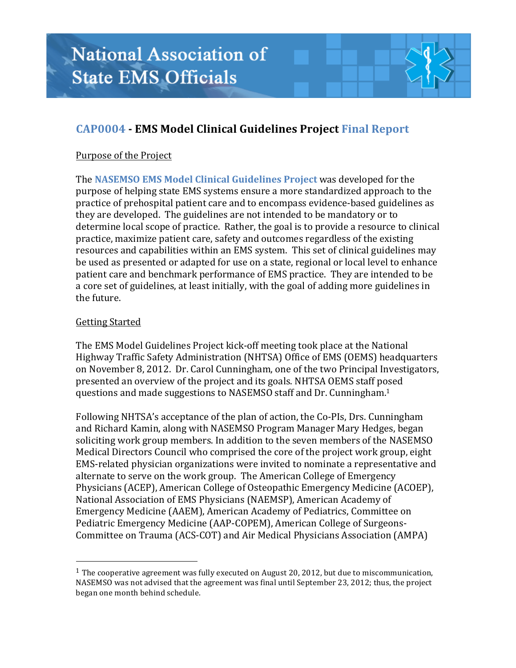# **CAP0004 - EMS Model Clinical Guidelines Project Final Report**

## Purpose of the Project

The **NASEMSO EMS** Model Clinical Guidelines Project was developed for the purpose of helping state EMS systems ensure a more standardized approach to the practice of prehospital patient care and to encompass evidence-based guidelines as they are developed. The guidelines are not intended to be mandatory or to determine local scope of practice. Rather, the goal is to provide a resource to clinical practice, maximize patient care, safety and outcomes regardless of the existing resources and capabilities within an EMS system. This set of clinical guidelines may be used as presented or adapted for use on a state, regional or local level to enhance patient care and benchmark performance of EMS practice. They are intended to be a core set of guidelines, at least initially, with the goal of adding more guidelines in the future.

## Getting Started

 

The EMS Model Guidelines Project kick-off meeting took place at the National Highway Traffic Safety Administration (NHTSA) Office of EMS (OEMS) headquarters on November 8, 2012. Dr. Carol Cunningham, one of the two Principal Investigators, presented an overview of the project and its goals. NHTSA OEMS staff posed questions and made suggestions to NASEMSO staff and Dr. Cunningham.<sup>1</sup>

Following NHTSA's acceptance of the plan of action, the Co-PIs, Drs. Cunningham and Richard Kamin, along with NASEMSO Program Manager Mary Hedges, began soliciting work group members. In addition to the seven members of the NASEMSO Medical Directors Council who comprised the core of the project work group, eight EMS-related physician organizations were invited to nominate a representative and alternate to serve on the work group. The American College of Emergency Physicians (ACEP), American College of Osteopathic Emergency Medicine (ACOEP), National Association of EMS Physicians (NAEMSP), American Academy of Emergency Medicine (AAEM), American Academy of Pediatrics, Committee on Pediatric Emergency Medicine (AAP-COPEM), American College of Surgeons-Committee on Trauma (ACS-COT) and Air Medical Physicians Association (AMPA)

<sup>&</sup>lt;sup>1</sup> The cooperative agreement was fully executed on August 20, 2012, but due to miscommunication, NASEMSO was not advised that the agreement was final until September 23, 2012; thus, the project began one month behind schedule.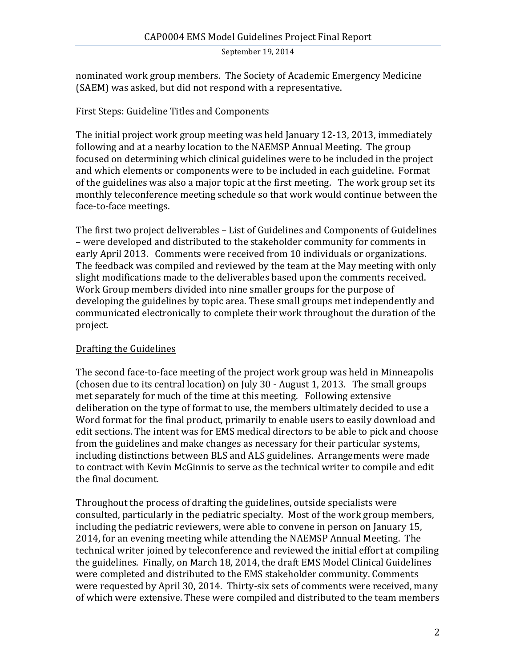#### September 19, 2014

nominated work group members. The Society of Academic Emergency Medicine (SAEM) was asked, but did not respond with a representative.

## First Steps: Guideline Titles and Components

The initial project work group meeting was held January  $12-13$ ,  $2013$ , immediately following and at a nearby location to the NAEMSP Annual Meeting. The group focused on determining which clinical guidelines were to be included in the project and which elements or components were to be included in each guideline. Format of the guidelines was also a major topic at the first meeting. The work group set its monthly teleconference meeting schedule so that work would continue between the face-to-face meetings.

The first two project deliverables - List of Guidelines and Components of Guidelines – were developed and distributed to the stakeholder community for comments in early April 2013. Comments were received from 10 individuals or organizations. The feedback was compiled and reviewed by the team at the May meeting with only slight modifications made to the deliverables based upon the comments received. Work Group members divided into nine smaller groups for the purpose of developing the guidelines by topic area. These small groups met independently and communicated electronically to complete their work throughout the duration of the project.

## Drafting the Guidelines

The second face-to-face meeting of the project work group was held in Minneapolis (chosen due to its central location) on July  $30$  - August 1, 2013. The small groups met separately for much of the time at this meeting. Following extensive deliberation on the type of format to use, the members ultimately decided to use a Word format for the final product, primarily to enable users to easily download and edit sections. The intent was for EMS medical directors to be able to pick and choose from the guidelines and make changes as necessary for their particular systems, including distinctions between BLS and ALS guidelines. Arrangements were made to contract with Kevin McGinnis to serve as the technical writer to compile and edit the final document.

Throughout the process of drafting the guidelines, outside specialists were consulted, particularly in the pediatric specialty. Most of the work group members, including the pediatric reviewers, were able to convene in person on January 15, 2014, for an evening meeting while attending the NAEMSP Annual Meeting. The technical writer joined by teleconference and reviewed the initial effort at compiling the guidelines. Finally, on March 18, 2014, the draft EMS Model Clinical Guidelines were completed and distributed to the EMS stakeholder community. Comments were requested by April 30, 2014. Thirty-six sets of comments were received, many of which were extensive. These were compiled and distributed to the team members